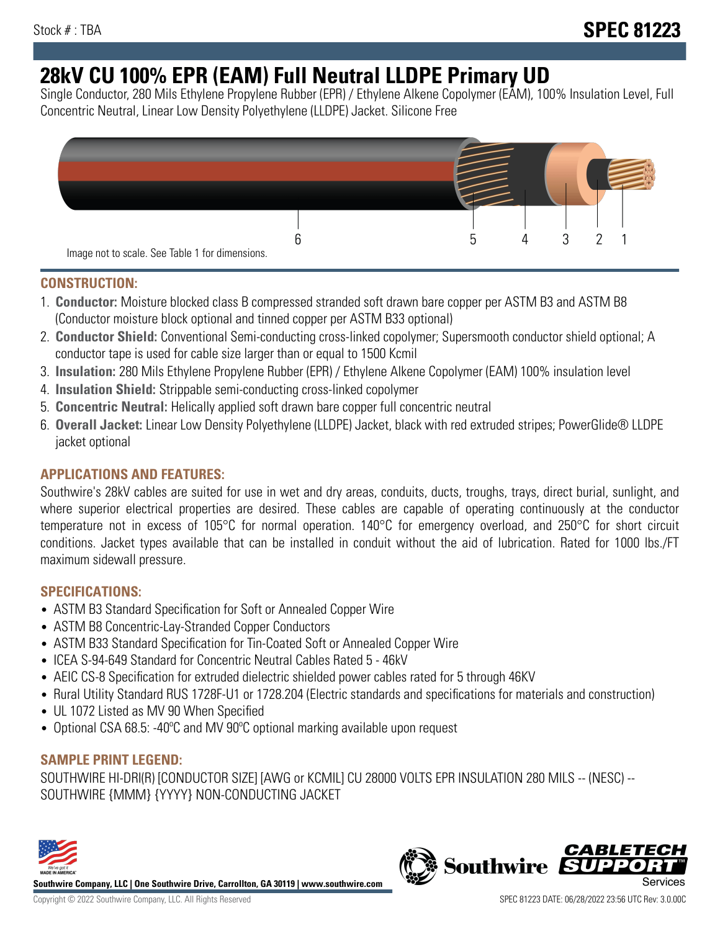# **28kV CU 100% EPR (EAM) Full Neutral LLDPE Primary UD**

Single Conductor, 280 Mils Ethylene Propylene Rubber (EPR) / Ethylene Alkene Copolymer (EAM), 100% Insulation Level, Full Concentric Neutral, Linear Low Density Polyethylene (LLDPE) Jacket. Silicone Free



## **CONSTRUCTION:**

- 1. **Conductor:** Moisture blocked class B compressed stranded soft drawn bare copper per ASTM B3 and ASTM B8 (Conductor moisture block optional and tinned copper per ASTM B33 optional)
- 2. **Conductor Shield:** Conventional Semi-conducting cross-linked copolymer; Supersmooth conductor shield optional; A conductor tape is used for cable size larger than or equal to 1500 Kcmil
- 3. **Insulation:** 280 Mils Ethylene Propylene Rubber (EPR) / Ethylene Alkene Copolymer (EAM) 100% insulation level
- 4. **Insulation Shield:** Strippable semi-conducting cross-linked copolymer
- 5. **Concentric Neutral:** Helically applied soft drawn bare copper full concentric neutral
- 6. **Overall Jacket:** Linear Low Density Polyethylene (LLDPE) Jacket, black with red extruded stripes; PowerGlide® LLDPE jacket optional

# **APPLICATIONS AND FEATURES:**

Southwire's 28kV cables are suited for use in wet and dry areas, conduits, ducts, troughs, trays, direct burial, sunlight, and where superior electrical properties are desired. These cables are capable of operating continuously at the conductor temperature not in excess of 105°C for normal operation. 140°C for emergency overload, and 250°C for short circuit conditions. Jacket types available that can be installed in conduit without the aid of lubrication. Rated for 1000 lbs./FT maximum sidewall pressure.

# **SPECIFICATIONS:**

- ASTM B3 Standard Specification for Soft or Annealed Copper Wire
- ASTM B8 Concentric-Lay-Stranded Copper Conductors
- ASTM B33 Standard Specification for Tin-Coated Soft or Annealed Copper Wire
- ICEA S-94-649 Standard for Concentric Neutral Cables Rated 5 46kV
- AEIC CS-8 Specification for extruded dielectric shielded power cables rated for 5 through 46KV
- Rural Utility Standard RUS 1728F-U1 or 1728.204 (Electric standards and specifications for materials and construction)
- UL 1072 Listed as MV 90 When Specified
- Optional CSA 68.5: -40°C and MV 90°C optional marking available upon request

# **SAMPLE PRINT LEGEND:**

SOUTHWIRE HI-DRI(R) [CONDUCTOR SIZE] [AWG or KCMIL] CU 28000 VOLTS EPR INSULATION 280 MILS -- (NESC) -- SOUTHWIRE {MMM} {YYYY} NON-CONDUCTING JACKET



**Southwire Company, LLC | One Southwire Drive, Carrollton, GA 30119 | www.southwire.com**